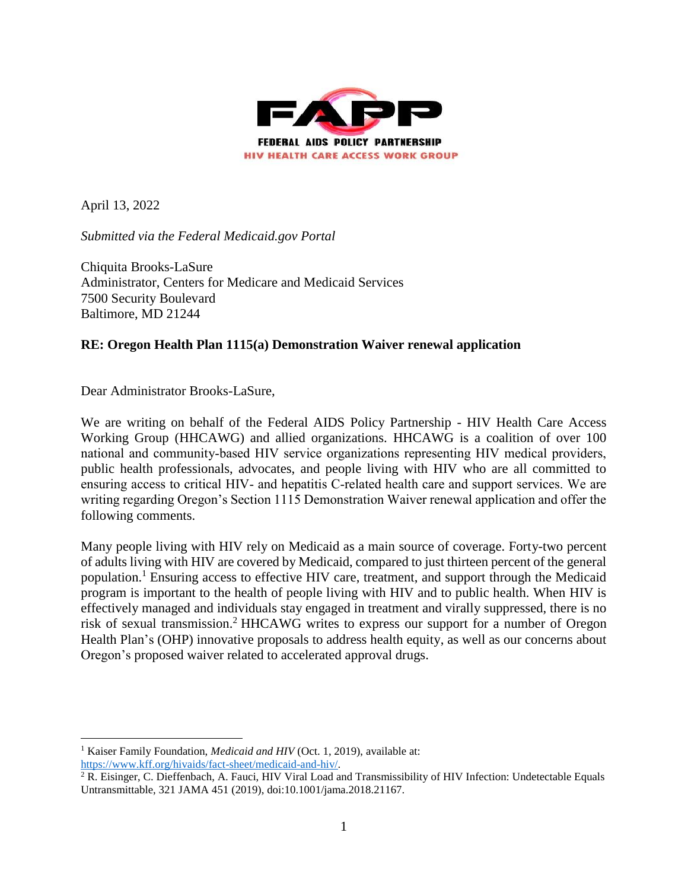

April 13, 2022

*Submitted via the Federal Medicaid.gov Portal*

Chiquita Brooks-LaSure Administrator, Centers for Medicare and Medicaid Services 7500 Security Boulevard Baltimore, MD 21244

# **RE: Oregon Health Plan 1115(a) Demonstration Waiver renewal application**

Dear Administrator Brooks-LaSure,

We are writing on behalf of the Federal AIDS Policy Partnership - HIV Health Care Access Working Group (HHCAWG) and allied organizations. HHCAWG is a coalition of over 100 national and community‐based HIV service organizations representing HIV medical providers, public health professionals, advocates, and people living with HIV who are all committed to ensuring access to critical HIV- and hepatitis C-related health care and support services. We are writing regarding Oregon's Section 1115 Demonstration Waiver renewal application and offer the following comments.

Many people living with HIV rely on Medicaid as a main source of coverage. Forty-two percent of adults living with HIV are covered by Medicaid, compared to just thirteen percent of the general population.<sup>1</sup> Ensuring access to effective HIV care, treatment, and support through the Medicaid program is important to the health of people living with HIV and to public health. When HIV is effectively managed and individuals stay engaged in treatment and virally suppressed, there is no risk of sexual transmission.<sup>2</sup> HHCAWG writes to express our support for a number of Oregon Health Plan's (OHP) innovative proposals to address health equity, as well as our concerns about Oregon's proposed waiver related to accelerated approval drugs.

 $\overline{a}$ <sup>1</sup> Kaiser Family Foundation, *Medicaid and HIV* (Oct. 1, 2019), available at: [https://www.kff.org/hivaids/fact-sheet/medicaid-and-hiv/.](https://www.kff.org/hivaids/fact-sheet/medicaid-and-hiv/)

<sup>2</sup> R. Eisinger, C. Dieffenbach, A. Fauci, HIV Viral Load and Transmissibility of HIV Infection: Undetectable Equals Untransmittable, 321 JAMA 451 (2019), doi:10.1001/jama.2018.21167.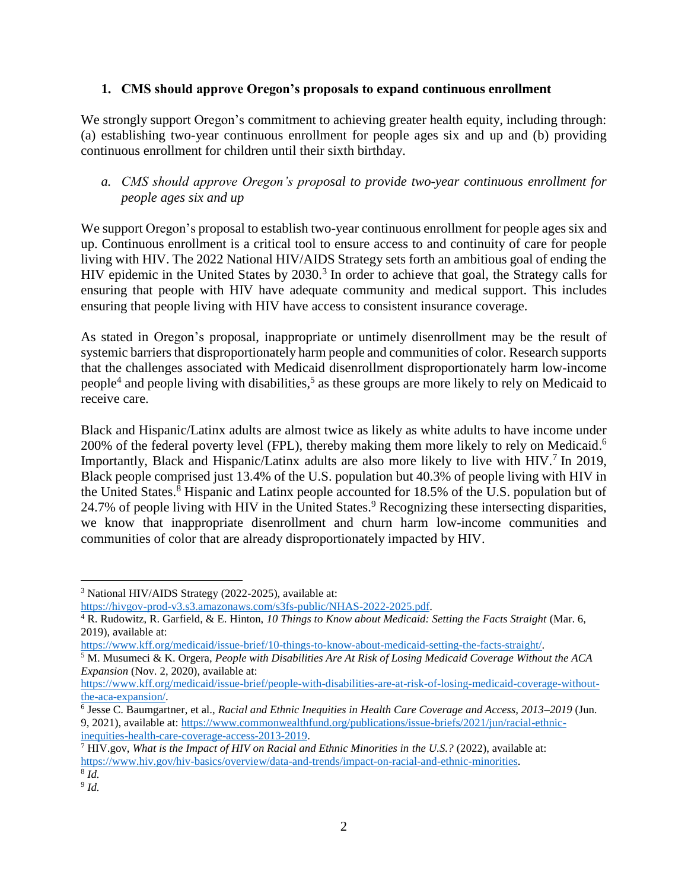# **1. CMS should approve Oregon's proposals to expand continuous enrollment**

We strongly support Oregon's commitment to achieving greater health equity, including through: (a) establishing two-year continuous enrollment for people ages six and up and (b) providing continuous enrollment for children until their sixth birthday.

# *a. CMS should approve Oregon's proposal to provide two-year continuous enrollment for people ages six and up*

We support Oregon's proposal to establish two-year continuous enrollment for people ages six and up. Continuous enrollment is a critical tool to ensure access to and continuity of care for people living with HIV. The 2022 National HIV/AIDS Strategy sets forth an ambitious goal of ending the HIV epidemic in the United States by 2030.<sup>3</sup> In order to achieve that goal, the Strategy calls for ensuring that people with HIV have adequate community and medical support. This includes ensuring that people living with HIV have access to consistent insurance coverage.

As stated in Oregon's proposal, inappropriate or untimely disenrollment may be the result of systemic barriers that disproportionately harm people and communities of color. Research supports that the challenges associated with Medicaid disenrollment disproportionately harm low-income people<sup>4</sup> and people living with disabilities,<sup>5</sup> as these groups are more likely to rely on Medicaid to receive care.

Black and Hispanic/Latinx adults are almost twice as likely as white adults to have income under 200% of the federal poverty level (FPL), thereby making them more likely to rely on Medicaid.<sup>6</sup> Importantly, Black and Hispanic/Latinx adults are also more likely to live with HIV.<sup>7</sup> In 2019, Black people comprised just 13.4% of the U.S. population but 40.3% of people living with HIV in the United States.<sup>8</sup> Hispanic and Latinx people accounted for 18.5% of the U.S. population but of 24.7% of people living with HIV in the United States.<sup>9</sup> Recognizing these intersecting disparities, we know that inappropriate disenrollment and churn harm low-income communities and communities of color that are already disproportionately impacted by HIV.

<sup>3</sup> National HIV/AIDS Strategy (2022-2025), available at:

[https://hivgov-prod-v3.s3.amazonaws.com/s3fs-public/NHAS-2022-2025.pdf.](https://hivgov-prod-v3.s3.amazonaws.com/s3fs-public/NHAS-2022-2025.pdf)

<sup>4</sup> R. Rudowitz, R. Garfield, & E. Hinton, *10 Things to Know about Medicaid: Setting the Facts Straight* (Mar. 6, 2019), available at:

[https://www.kff.org/medicaid/issue-brief/10-things-to-know-about-medicaid-setting-the-facts-straight/.](https://www.kff.org/medicaid/issue-brief/10-things-to-know-about-medicaid-setting-the-facts-straight/) 

<sup>5</sup> M. Musumeci & K. Orgera, *People with Disabilities Are At Risk of Losing Medicaid Coverage Without the ACA Expansion* (Nov. 2, 2020), available at:

[https://www.kff.org/medicaid/issue-brief/people-with-disabilities-are-at-risk-of-losing-medicaid-coverage-without](https://www.kff.org/medicaid/issue-brief/people-with-disabilities-are-at-risk-of-losing-medicaid-coverage-without-the-aca-expansion/)[the-aca-expansion/.](https://www.kff.org/medicaid/issue-brief/people-with-disabilities-are-at-risk-of-losing-medicaid-coverage-without-the-aca-expansion/) 

<sup>6</sup> Jesse C. Baumgartner, et al., *Racial and Ethnic Inequities in Health Care Coverage and Access, 2013–2019* (Jun. 9, 2021), available at: [https://www.commonwealthfund.org/publications/issue-briefs/2021/jun/racial-ethnic](https://www.commonwealthfund.org/publications/issue-briefs/2021/jun/racial-ethnic-inequities-health-care-coverage-access-2013-2019)[inequities-health-care-coverage-access-2013-2019.](https://www.commonwealthfund.org/publications/issue-briefs/2021/jun/racial-ethnic-inequities-health-care-coverage-access-2013-2019)

<sup>7</sup> HIV.gov, *What is the Impact of HIV on Racial and Ethnic Minorities in the U.S.?* (2022), available at: [https://www.hiv.gov/hiv-basics/overview/data-and-trends/impact-on-racial-and-ethnic-minorities.](https://www.hiv.gov/hiv-basics/overview/data-and-trends/impact-on-racial-and-ethnic-minorities) 8 *Id.*

<sup>9</sup> *Id.*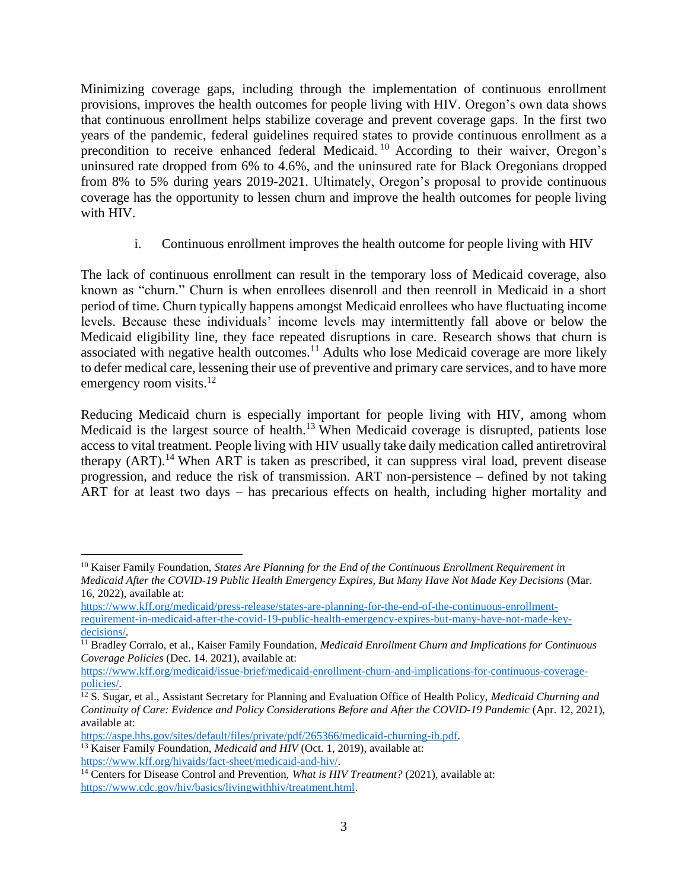Minimizing coverage gaps, including through the implementation of continuous enrollment provisions, improves the health outcomes for people living with HIV. Oregon's own data shows that continuous enrollment helps stabilize coverage and prevent coverage gaps. In the first two years of the pandemic, federal guidelines required states to provide continuous enrollment as a precondition to receive enhanced federal Medicaid. <sup>10</sup> According to their waiver, Oregon's uninsured rate dropped from 6% to 4.6%, and the uninsured rate for Black Oregonians dropped from 8% to 5% during years 2019-2021. Ultimately, Oregon's proposal to provide continuous coverage has the opportunity to lessen churn and improve the health outcomes for people living with HIV.

i. Continuous enrollment improves the health outcome for people living with HIV

The lack of continuous enrollment can result in the temporary loss of Medicaid coverage, also known as "churn." Churn is when enrollees disenroll and then reenroll in Medicaid in a short period of time. Churn typically happens amongst Medicaid enrollees who have fluctuating income levels. Because these individuals' income levels may intermittently fall above or below the Medicaid eligibility line, they face repeated disruptions in care. Research shows that churn is associated with negative health outcomes.<sup>11</sup> Adults who lose Medicaid coverage are more likely to defer medical care, lessening their use of preventive and primary care services, and to have more emergency room visits.<sup>12</sup>

Reducing Medicaid churn is especially important for people living with HIV, among whom Medicaid is the largest source of health.<sup>13</sup> When Medicaid coverage is disrupted, patients lose access to vital treatment. People living with HIV usually take daily medication called antiretroviral therapy  $(ART)$ .<sup>14</sup> When ART is taken as prescribed, it can suppress viral load, prevent disease progression, and reduce the risk of transmission. ART non-persistence – defined by not taking ART for at least two days – has precarious effects on health, including higher mortality and

<sup>13</sup> Kaiser Family Foundation, *Medicaid and HIV* (Oct. 1, 2019), available at: [https://www.kff.org/hivaids/fact-sheet/medicaid-and-hiv/.](https://www.kff.org/hivaids/fact-sheet/medicaid-and-hiv/)

<sup>10</sup> Kaiser Family Foundation, *States Are Planning for the End of the Continuous Enrollment Requirement in Medicaid After the COVID-19 Public Health Emergency Expires, But Many Have Not Made Key Decisions* (Mar. 16, 2022), available at:

[https://www.kff.org/medicaid/press-release/states-are-planning-for-the-end-of-the-continuous-enrollment](https://www.kff.org/medicaid/press-release/states-are-planning-for-the-end-of-the-continuous-enrollment-requirement-in-medicaid-after-the-covid-19-public-health-emergency-expires-but-many-have-not-made-key-decisions/)[requirement-in-medicaid-after-the-covid-19-public-health-emergency-expires-but-many-have-not-made-key](https://www.kff.org/medicaid/press-release/states-are-planning-for-the-end-of-the-continuous-enrollment-requirement-in-medicaid-after-the-covid-19-public-health-emergency-expires-but-many-have-not-made-key-decisions/)[decisions/.](https://www.kff.org/medicaid/press-release/states-are-planning-for-the-end-of-the-continuous-enrollment-requirement-in-medicaid-after-the-covid-19-public-health-emergency-expires-but-many-have-not-made-key-decisions/)

<sup>11</sup> Bradley Corralo, et al., Kaiser Family Foundation, *Medicaid Enrollment Churn and Implications for Continuous Coverage Policies* (Dec. 14. 2021), available at:

[https://www.kff.org/medicaid/issue-brief/medicaid-enrollment-churn-and-implications-for-continuous-coverage](https://www.kff.org/medicaid/issue-brief/medicaid-enrollment-churn-and-implications-for-continuous-coverage-policies/)[policies/.](https://www.kff.org/medicaid/issue-brief/medicaid-enrollment-churn-and-implications-for-continuous-coverage-policies/)

<sup>12</sup> S. Sugar, et al., Assistant Secretary for Planning and Evaluation Office of Health Policy, *Medicaid Churning and Continuity of Care: Evidence and Policy Considerations Before and After the COVID-19 Pandemic* (Apr. 12, 2021), available at:

[https://aspe.hhs.gov/sites/default/files/private/pdf/265366/medicaid-churning-ib.pdf.](https://aspe.hhs.gov/sites/default/files/private/pdf/265366/medicaid-churning-ib.pdf)

<sup>&</sup>lt;sup>14</sup> Centers for Disease Control and Prevention, *What is HIV Treatment?* (2021), available at: [https://www.cdc.gov/hiv/basics/livingwithhiv/treatment.html.](https://www.cdc.gov/hiv/basics/livingwithhiv/treatment.html)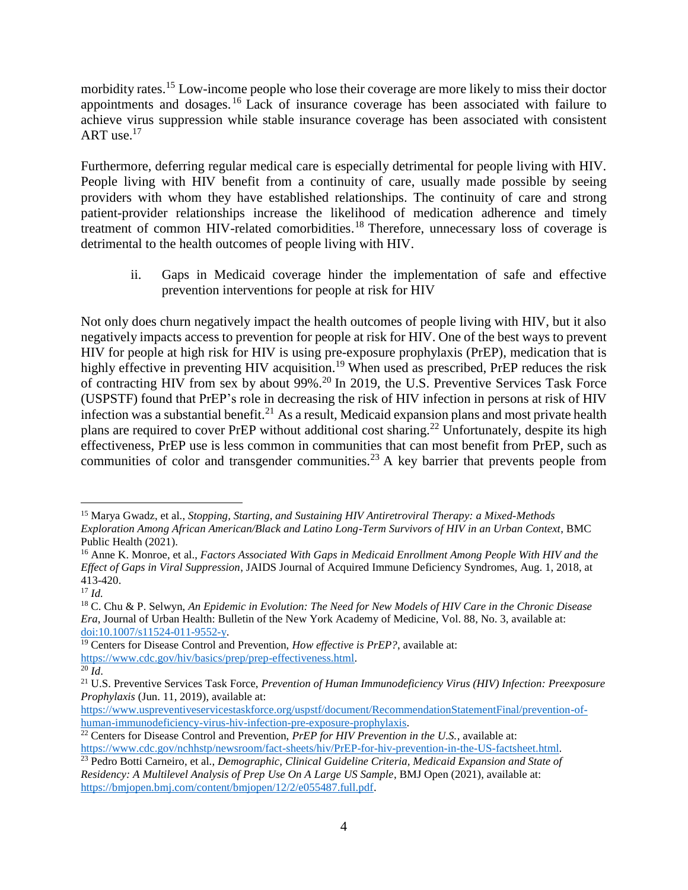morbidity rates.<sup>15</sup> Low-income people who lose their coverage are more likely to miss their doctor appointments and dosages. <sup>16</sup> Lack of insurance coverage has been associated with failure to achieve virus suppression while stable insurance coverage has been associated with consistent ART use. $17$ 

Furthermore, deferring regular medical care is especially detrimental for people living with HIV. People living with HIV benefit from a continuity of care, usually made possible by seeing providers with whom they have established relationships. The continuity of care and strong patient-provider relationships increase the likelihood of medication adherence and timely treatment of common HIV-related comorbidities.<sup>18</sup> Therefore, unnecessary loss of coverage is detrimental to the health outcomes of people living with HIV.

ii. Gaps in Medicaid coverage hinder the implementation of safe and effective prevention interventions for people at risk for HIV

Not only does churn negatively impact the health outcomes of people living with HIV, but it also negatively impacts access to prevention for people at risk for HIV. One of the best ways to prevent HIV for people at high risk for HIV is using pre-exposure prophylaxis (PrEP), medication that is highly effective in preventing HIV acquisition.<sup>19</sup> When used as prescribed, PrEP reduces the risk of contracting HIV from sex by about 99%.<sup>20</sup> In 2019, the U.S. Preventive Services Task Force (USPSTF) found that PrEP's role in decreasing the risk of HIV infection in persons at risk of HIV infection was a substantial benefit.<sup>21</sup> As a result, Medicaid expansion plans and most private health plans are required to cover PrEP without additional cost sharing.<sup>22</sup> Unfortunately, despite its high effectiveness, PrEP use is less common in communities that can most benefit from PrEP, such as communities of color and transgender communities.<sup>23</sup> A key barrier that prevents people from

<sup>15</sup> Marya Gwadz, et al., *Stopping, Starting, and Sustaining HIV Antiretroviral Therapy: a Mixed-Methods Exploration Among African American/Black and Latino Long-Term Survivors of HIV in an Urban Context*, BMC Public Health (2021).

<sup>16</sup> Anne K. Monroe, et al., *Factors Associated With Gaps in Medicaid Enrollment Among People With HIV and the Effect of Gaps in Viral Suppression*, JAIDS Journal of Acquired Immune Deficiency Syndromes, Aug. 1, 2018, at 413-420.

<sup>17</sup> *Id.*

<sup>18</sup> C. Chu & P. Selwyn, *An Epidemic in Evolution: The Need for New Models of HIV Care in the Chronic Disease Era*, Journal of Urban Health: Bulletin of the New York Academy of Medicine, Vol. 88, No. 3, available at: [doi:10.1007/s11524-011-9552-y.](doi:10.1007/s11524-011-9552-y)

<sup>&</sup>lt;sup>19</sup> Centers for Disease Control and Prevention, *How effective is PrEP?*, available at: [https://www.cdc.gov/hiv/basics/prep/prep-effectiveness.html.](https://www.cdc.gov/hiv/basics/prep/prep-effectiveness.html)

 $\overline{^{20}$  *Id.* 

<sup>21</sup> U.S. Preventive Services Task Force, *Prevention of Human Immunodeficiency Virus (HIV) Infection: Preexposure Prophylaxis* (Jun. 11, 2019), available at:

[https://www.uspreventiveservicestaskforce.org/uspstf/document/RecommendationStatementFinal/prevention-of](https://www.uspreventiveservicestaskforce.org/uspstf/document/RecommendationStatementFinal/prevention-of-human-immunodeficiency-virus-hiv-infection-pre-exposure-prophylaxis)[human-immunodeficiency-virus-hiv-infection-pre-exposure-prophylaxis.](https://www.uspreventiveservicestaskforce.org/uspstf/document/RecommendationStatementFinal/prevention-of-human-immunodeficiency-virus-hiv-infection-pre-exposure-prophylaxis)

<sup>&</sup>lt;sup>22</sup> Centers for Disease Control and Prevention, *PrEP for HIV Prevention in the U.S.*, available at: [https://www.cdc.gov/nchhstp/newsroom/fact-sheets/hiv/PrEP-for-hiv-prevention-in-the-US-factsheet.html.](https://www.cdc.gov/nchhstp/newsroom/fact-sheets/hiv/PrEP-for-hiv-prevention-in-the-US-factsheet.html)

<sup>&</sup>lt;sup>23</sup> Pedro Botti Carneiro, et al., *Demographic, Clinical Guideline Criteria, Medicaid Expansion and State of Residency: A Multilevel Analysis of Prep Use On A Large US Sample*, BMJ Open (2021), available at: [https://bmjopen.bmj.com/content/bmjopen/12/2/e055487.full.pdf.](https://bmjopen.bmj.com/content/bmjopen/12/2/e055487.full.pdf)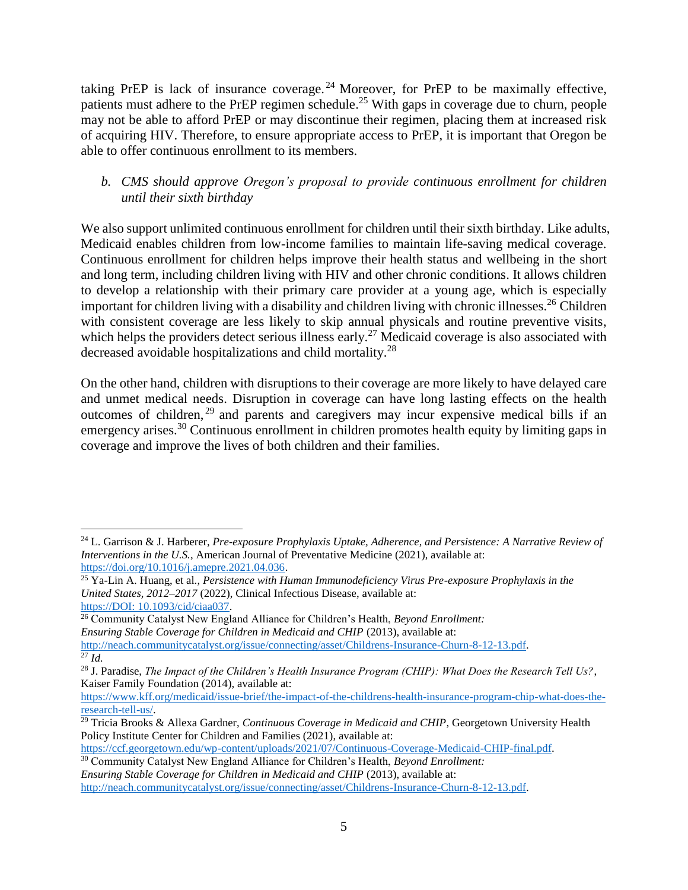taking PrEP is lack of insurance coverage. <sup>24</sup> Moreover, for PrEP to be maximally effective, patients must adhere to the PrEP regimen schedule.<sup>25</sup> With gaps in coverage due to churn, people may not be able to afford PrEP or may discontinue their regimen, placing them at increased risk of acquiring HIV. Therefore, to ensure appropriate access to PrEP, it is important that Oregon be able to offer continuous enrollment to its members.

### *b. CMS should approve Oregon's proposal to provide continuous enrollment for children until their sixth birthday*

We also support unlimited continuous enrollment for children until their sixth birthday. Like adults, Medicaid enables children from low-income families to maintain life-saving medical coverage. Continuous enrollment for children helps improve their health status and wellbeing in the short and long term, including children living with HIV and other chronic conditions. It allows children to develop a relationship with their primary care provider at a young age, which is especially important for children living with a disability and children living with chronic illnesses.<sup>26</sup> Children with consistent coverage are less likely to skip annual physicals and routine preventive visits, which helps the providers detect serious illness early.<sup>27</sup> Medicaid coverage is also associated with decreased avoidable hospitalizations and child mortality.<sup>28</sup>

On the other hand, children with disruptions to their coverage are more likely to have delayed care and unmet medical needs. Disruption in coverage can have long lasting effects on the health outcomes of children, <sup>29</sup> and parents and caregivers may incur expensive medical bills if an emergency arises.<sup>30</sup> Continuous enrollment in children promotes health equity by limiting gaps in coverage and improve the lives of both children and their families.

 $\overline{a}$ <sup>24</sup> L. Garrison & J. Harberer, *Pre-exposure Prophylaxis Uptake, Adherence, and Persistence: A Narrative Review of Interventions in the U.S.*, American Journal of Preventative Medicine (2021), available at: [https://doi.org/10.1016/j.amepre.2021.04.036.](https://doi.org/10.1016/j.amepre.2021.04.036)

<sup>25</sup> Ya-Lin A. Huang, et al., *Persistence with Human Immunodeficiency Virus Pre-exposure Prophylaxis in the United States, 2012–2017* (2022), Clinical Infectious Disease, available at: [https://DOI: 10.1093/cid/ciaa037.](doi:%2010.1093/cid/ciaa037)

<sup>26</sup> Community Catalyst New England Alliance for Children's Health, *Beyond Enrollment:*

*Ensuring Stable Coverage for Children in Medicaid and CHIP* (2013), available at:

[http://neach.communitycatalyst.org/issue/connecting/asset/Childrens-Insurance-Churn-8-12-13.pdf.](http://neach.communitycatalyst.org/issue/connecting/asset/Childrens-Insurance-Churn-8-12-13.pdf)   $^{27}$   $\tilde{I}$ *d*.

<sup>28</sup> J. Paradise, *The Impact of the Children's Health Insurance Program (CHIP): What Does the Research Tell Us?*, Kaiser Family Foundation (2014), available at:

[https://www.kff.org/medicaid/issue-brief/the-impact-of-the-childrens-health-insurance-program-chip-what-does-the](https://www.kff.org/medicaid/issue-brief/the-impact-of-the-childrens-health-insurance-program-chip-what-does-the-research-tell-us/)[research-tell-us/.](https://www.kff.org/medicaid/issue-brief/the-impact-of-the-childrens-health-insurance-program-chip-what-does-the-research-tell-us/) 

<sup>&</sup>lt;sup>29</sup> Tricia Brooks & Allexa Gardner, *Continuous Coverage in Medicaid and CHIP*, Georgetown University Health Policy Institute Center for Children and Families (2021), available at:

[https://ccf.georgetown.edu/wp-content/uploads/2021/07/Continuous-Coverage-Medicaid-CHIP-final.pdf.](https://ccf.georgetown.edu/wp-content/uploads/2021/07/Continuous-Coverage-Medicaid-CHIP-final.pdf)

<sup>30</sup> Community Catalyst New England Alliance for Children's Health, *Beyond Enrollment: Ensuring Stable Coverage for Children in Medicaid and CHIP* (2013), available at: [http://neach.communitycatalyst.org/issue/connecting/asset/Childrens-Insurance-Churn-8-12-13.pdf.](http://neach.communitycatalyst.org/issue/connecting/asset/Childrens-Insurance-Churn-8-12-13.pdf)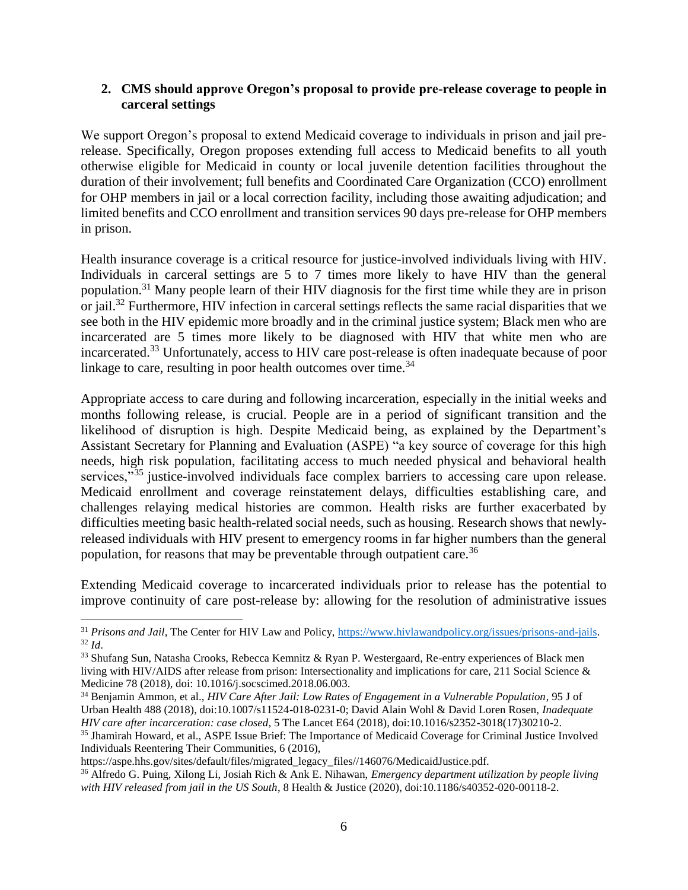#### **2. CMS should approve Oregon's proposal to provide pre-release coverage to people in carceral settings**

We support Oregon's proposal to extend Medicaid coverage to individuals in prison and jail prerelease. Specifically, Oregon proposes extending full access to Medicaid benefits to all youth otherwise eligible for Medicaid in county or local juvenile detention facilities throughout the duration of their involvement; full benefits and Coordinated Care Organization (CCO) enrollment for OHP members in jail or a local correction facility, including those awaiting adjudication; and limited benefits and CCO enrollment and transition services 90 days pre-release for OHP members in prison.

Health insurance coverage is a critical resource for justice-involved individuals living with HIV. Individuals in carceral settings are 5 to 7 times more likely to have HIV than the general population.<sup>31</sup> Many people learn of their HIV diagnosis for the first time while they are in prison or jail.<sup>32</sup> Furthermore, HIV infection in carceral settings reflects the same racial disparities that we see both in the HIV epidemic more broadly and in the criminal justice system; Black men who are incarcerated are 5 times more likely to be diagnosed with HIV that white men who are incarcerated. <sup>33</sup> Unfortunately, access to HIV care post-release is often inadequate because of poor linkage to care, resulting in poor health outcomes over time. $34$ 

Appropriate access to care during and following incarceration, especially in the initial weeks and months following release, is crucial. People are in a period of significant transition and the likelihood of disruption is high. Despite Medicaid being, as explained by the Department's Assistant Secretary for Planning and Evaluation (ASPE) "a key source of coverage for this high needs, high risk population, facilitating access to much needed physical and behavioral health services,"<sup>35</sup> justice-involved individuals face complex barriers to accessing care upon release. Medicaid enrollment and coverage reinstatement delays, difficulties establishing care, and challenges relaying medical histories are common. Health risks are further exacerbated by difficulties meeting basic health-related social needs, such as housing. Research shows that newlyreleased individuals with HIV present to emergency rooms in far higher numbers than the general population, for reasons that may be preventable through outpatient care.<sup>36</sup>

Extending Medicaid coverage to incarcerated individuals prior to release has the potential to improve continuity of care post-release by: allowing for the resolution of administrative issues

<sup>31</sup> *Prisons and Jail*, The Center for HIV Law and Policy, [https://www.hivlawandpolicy.org/issues/prisons-and-jails.](https://www.hivlawandpolicy.org/issues/prisons-and-jails) <sup>32</sup> *Id*.

<sup>33</sup> Shufang Sun, Natasha Crooks, Rebecca Kemnitz & Ryan P. Westergaard, Re-entry experiences of Black men living with HIV/AIDS after release from prison: Intersectionality and implications for care, 211 Social Science & Medicine 78 (2018), doi: 10.1016/j.socscimed.2018.06.003.

<sup>34</sup> Benjamin Ammon, et al., *HIV Care After Jail: Low Rates of Engagement in a Vulnerable Population*, 95 J of Urban Health 488 (2018), doi:10.1007/s11524-018-0231-0; David Alain Wohl & David Loren Rosen, *Inadequate HIV care after incarceration: case closed*, 5 The Lancet E64 (2018), doi:10.1016/s2352-3018(17)30210-2.

<sup>&</sup>lt;sup>35</sup> Jhamirah Howard, et al., ASPE Issue Brief: The Importance of Medicaid Coverage for Criminal Justice Involved Individuals Reentering Their Communities, 6 (2016),

https://aspe.hhs.gov/sites/default/files/migrated\_legacy\_files//146076/MedicaidJustice.pdf. <sup>36</sup> Alfredo G. Puing, Xilong Li, Josiah Rich & Ank E. Nihawan, *Emergency department utilization by people living with HIV released from jail in the US South*, 8 Health & Justice (2020), doi:10.1186/s40352-020-00118-2.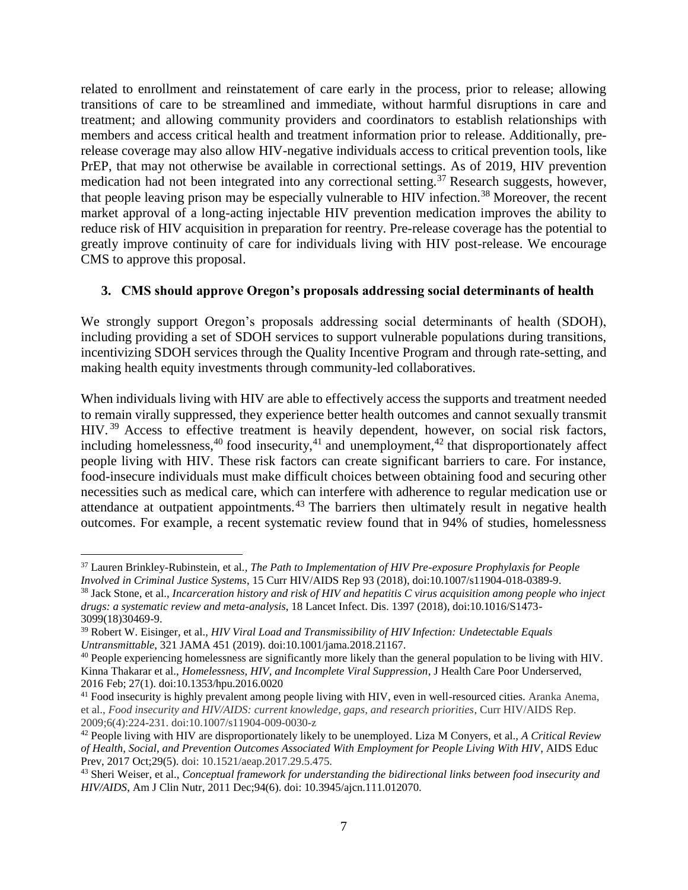related to enrollment and reinstatement of care early in the process, prior to release; allowing transitions of care to be streamlined and immediate, without harmful disruptions in care and treatment; and allowing community providers and coordinators to establish relationships with members and access critical health and treatment information prior to release. Additionally, prerelease coverage may also allow HIV-negative individuals access to critical prevention tools, like PrEP, that may not otherwise be available in correctional settings. As of 2019, HIV prevention medication had not been integrated into any correctional setting.<sup>37</sup> Research suggests, however, that people leaving prison may be especially vulnerable to HIV infection.<sup>38</sup> Moreover, the recent market approval of a long-acting injectable HIV prevention medication improves the ability to reduce risk of HIV acquisition in preparation for reentry. Pre-release coverage has the potential to greatly improve continuity of care for individuals living with HIV post-release. We encourage CMS to approve this proposal.

# **3. CMS should approve Oregon's proposals addressing social determinants of health**

We strongly support Oregon's proposals addressing social determinants of health (SDOH), including providing a set of SDOH services to support vulnerable populations during transitions, incentivizing SDOH services through the Quality Incentive Program and through rate-setting, and making health equity investments through community-led collaboratives.

When individuals living with HIV are able to effectively access the supports and treatment needed to remain virally suppressed, they experience better health outcomes and cannot sexually transmit HIV.<sup>39</sup> Access to effective treatment is heavily dependent, however, on social risk factors, including homelessness,  $40$  food insecurity,  $41$  and unemployment,  $42$  that disproportionately affect people living with HIV. These risk factors can create significant barriers to care. For instance, food-insecure individuals must make difficult choices between obtaining food and securing other necessities such as medical care, which can interfere with adherence to regular medication use or attendance at outpatient appointments.<sup>43</sup> The barriers then ultimately result in negative health outcomes. For example, a recent systematic review found that in 94% of studies, homelessness

<sup>37</sup> Lauren Brinkley-Rubinstein, et al*., The Path to Implementation of HIV Pre-exposure Prophylaxis for People Involved in Criminal Justice Systems*, 15 Curr HIV/AIDS Rep 93 (2018), doi:10.1007/s11904-018-0389-9.

<sup>38</sup> Jack Stone, et al., *Incarceration history and risk of HIV and hepatitis C virus acquisition among people who inject drugs: a systematic review and meta-analysis*, 18 Lancet Infect. Dis. 1397 (2018), doi:10.1016/S1473- 3099(18)30469-9.

<sup>39</sup> Robert W. Eisinger, et al., *HIV Viral Load and Transmissibility of HIV Infection: Undetectable Equals Untransmittable*, 321 JAMA 451 (2019). doi:10.1001/jama.2018.21167.

<sup>40</sup> People experiencing homelessness are significantly more likely than the general population to be living with HIV. Kinna Thakarar et al., *Homelessness, HIV, and Incomplete Viral Suppression*, J Health Care Poor Underserved, 2016 Feb; 27(1). doi:10.1353/hpu.2016.0020

<sup>&</sup>lt;sup>41</sup> Food insecurity is highly prevalent among people living with HIV, even in well-resourced cities. Aranka Anema, et al., *Food insecurity and HIV/AIDS: current knowledge, gaps, and research priorities*, Curr HIV/AIDS Rep. 2009;6(4):224-231. doi:10.1007/s11904-009-0030-z

<sup>42</sup> People living with HIV are disproportionately likely to be unemployed. Liza M Conyers, et al., *A Critical Review of Health, Social, and Prevention Outcomes Associated With Employment for People Living With HIV*, AIDS Educ Prev, 2017 Oct;29(5). doi: 10.1521/aeap.2017.29.5.475.

<sup>43</sup> Sheri Weiser, et al., *Conceptual framework for understanding the bidirectional links between food insecurity and HIV/AIDS*, Am J Clin Nutr, 2011 Dec;94(6). doi: 10.3945/ajcn.111.012070.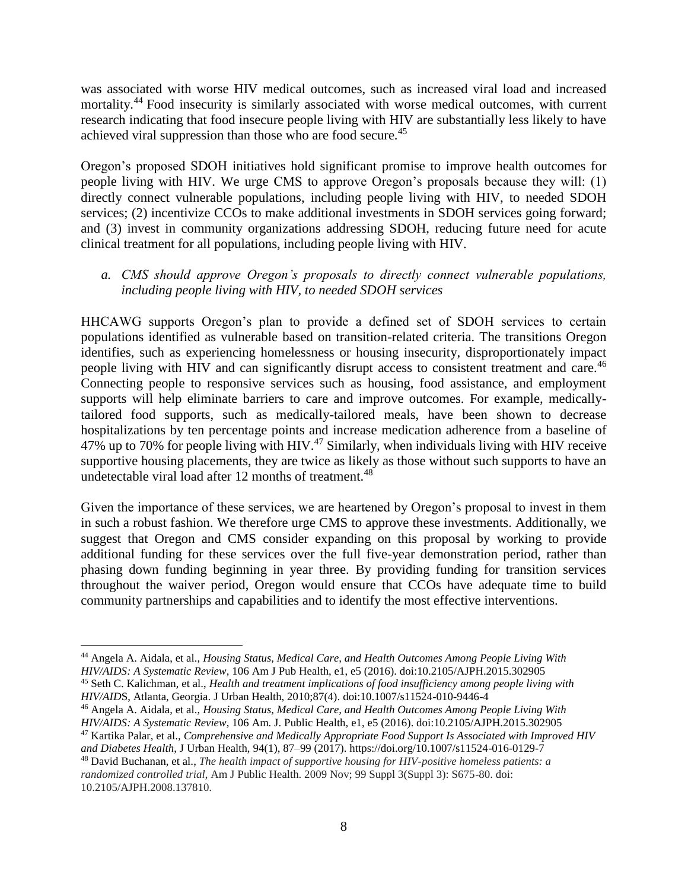was associated with worse HIV medical outcomes, such as increased viral load and increased mortality.<sup>44</sup> Food insecurity is similarly associated with worse medical outcomes, with current research indicating that food insecure people living with HIV are substantially less likely to have achieved viral suppression than those who are food secure.<sup>45</sup>

Oregon's proposed SDOH initiatives hold significant promise to improve health outcomes for people living with HIV. We urge CMS to approve Oregon's proposals because they will: (1) directly connect vulnerable populations, including people living with HIV, to needed SDOH services; (2) incentivize CCOs to make additional investments in SDOH services going forward; and (3) invest in community organizations addressing SDOH, reducing future need for acute clinical treatment for all populations, including people living with HIV.

## *a. CMS should approve Oregon's proposals to directly connect vulnerable populations, including people living with HIV, to needed SDOH services*

HHCAWG supports Oregon's plan to provide a defined set of SDOH services to certain populations identified as vulnerable based on transition-related criteria. The transitions Oregon identifies, such as experiencing homelessness or housing insecurity, disproportionately impact people living with HIV and can significantly disrupt access to consistent treatment and care.<sup>46</sup> Connecting people to responsive services such as housing, food assistance, and employment supports will help eliminate barriers to care and improve outcomes. For example, medicallytailored food supports, such as medically-tailored meals, have been shown to decrease hospitalizations by ten percentage points and increase medication adherence from a baseline of  $47\%$  up to 70% for people living with HIV.<sup>47</sup> Similarly, when individuals living with HIV receive supportive housing placements, they are twice as likely as those without such supports to have an undetectable viral load after 12 months of treatment.<sup>48</sup>

Given the importance of these services, we are heartened by Oregon's proposal to invest in them in such a robust fashion. We therefore urge CMS to approve these investments. Additionally, we suggest that Oregon and CMS consider expanding on this proposal by working to provide additional funding for these services over the full five-year demonstration period, rather than phasing down funding beginning in year three. By providing funding for transition services throughout the waiver period, Oregon would ensure that CCOs have adequate time to build community partnerships and capabilities and to identify the most effective interventions.

 $\overline{a}$ <sup>44</sup> Angela A. Aidala, et al., *Housing Status, Medical Care, and Health Outcomes Among People Living With HIV/AIDS: A Systematic Review*, 106 Am J Pub Health, e1, e5 (2016). doi:10.2105/AJPH.2015.302905 <sup>45</sup> Seth C. Kalichman, et al., *Health and treatment implications of food insufficiency among people living with HIV/AID*S, Atlanta, Georgia. J Urban Health, 2010;87(4). doi:10.1007/s11524-010-9446-4

<sup>46</sup> Angela A. Aidala, et al., *Housing Status, Medical Care, and Health Outcomes Among People Living With HIV/AIDS: A Systematic Review*, 106 Am. J. Public Health, e1, e5 (2016). doi:10.2105/AJPH.2015.302905

<sup>47</sup> Kartika Palar, et al., *Comprehensive and Medically Appropriate Food Support Is Associated with Improved HIV and Diabetes Health*, J Urban Health, 94(1), 87–99 (2017). https://doi.org/10.1007/s11524-016-0129-7

<sup>48</sup> David Buchanan, et al., *The health impact of supportive housing for HIV-positive homeless patients: a randomized controlled trial*, Am J Public Health. 2009 Nov; 99 Suppl 3(Suppl 3): S675-80. doi: 10.2105/AJPH.2008.137810.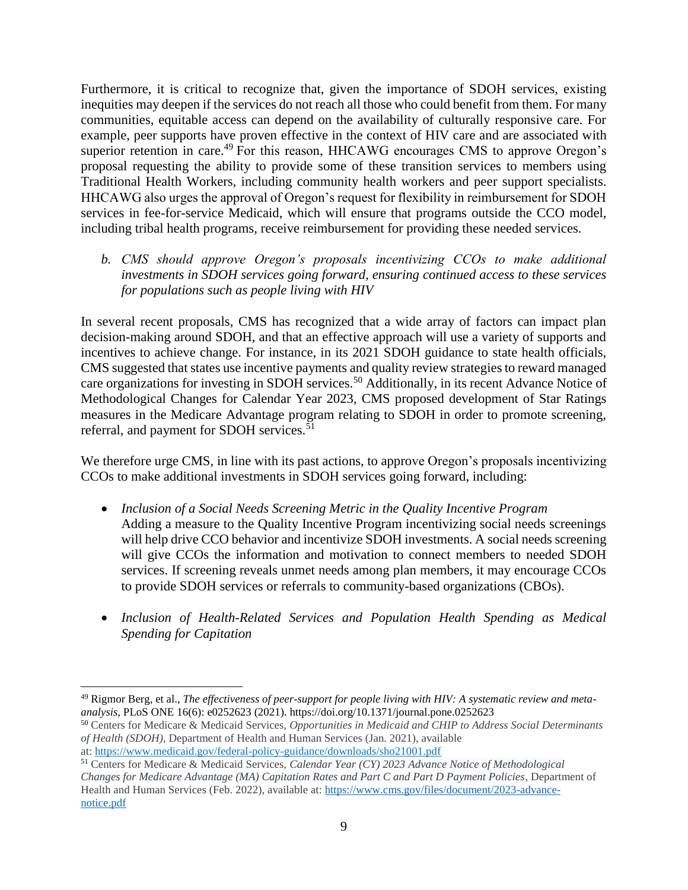Furthermore, it is critical to recognize that, given the importance of SDOH services, existing inequities may deepen if the services do not reach all those who could benefit from them. For many communities, equitable access can depend on the availability of culturally responsive care. For example, peer supports have proven effective in the context of HIV care and are associated with superior retention in care.<sup>49</sup> For this reason, HHCAWG encourages CMS to approve Oregon's proposal requesting the ability to provide some of these transition services to members using Traditional Health Workers, including community health workers and peer support specialists. HHCAWG also urges the approval of Oregon's request for flexibility in reimbursement for SDOH services in fee-for-service Medicaid, which will ensure that programs outside the CCO model, including tribal health programs, receive reimbursement for providing these needed services.

*b. CMS should approve Oregon's proposals incentivizing CCOs to make additional investments in SDOH services going forward, ensuring continued access to these services for populations such as people living with HIV* 

In several recent proposals, CMS has recognized that a wide array of factors can impact plan decision-making around SDOH, and that an effective approach will use a variety of supports and incentives to achieve change. For instance, in its 2021 SDOH guidance to state health officials, CMS suggested that states use incentive payments and quality review strategies to reward managed care organizations for investing in SDOH services.<sup>50</sup> Additionally, in its recent Advance Notice of Methodological Changes for Calendar Year 2023, CMS proposed development of Star Ratings measures in the Medicare Advantage program relating to SDOH in order to promote screening, referral, and payment for SDOH services.<sup>51</sup>

We therefore urge CMS, in line with its past actions, to approve Oregon's proposals incentivizing CCOs to make additional investments in SDOH services going forward, including:

- *Inclusion of a Social Needs Screening Metric in the Quality Incentive Program* Adding a measure to the Quality Incentive Program incentivizing social needs screenings will help drive CCO behavior and incentivize SDOH investments. A social needs screening will give CCOs the information and motivation to connect members to needed SDOH services. If screening reveals unmet needs among plan members, it may encourage CCOs to provide SDOH services or referrals to community-based organizations (CBOs).
- *Inclusion of Health-Related Services and Population Health Spending as Medical Spending for Capitation*

 $\overline{a}$ <sup>49</sup> Rigmor Berg, et al., *The effectiveness of peer-support for people living with HIV: A systematic review and metaanalysis*, PLoS ONE 16(6): e0252623 (2021). https://doi.org/10.1371/journal.pone.0252623

<sup>50</sup> Centers for Medicare & Medicaid Services, *Opportunities in Medicaid and CHIP to Address Social Determinants of Health (SDOH)*, Department of Health and Human Services (Jan. 2021), available

at: <https://www.medicaid.gov/federal-policy-guidance/downloads/sho21001.pdf>

<sup>51</sup> Centers for Medicare & Medicaid Services, *Calendar Year (CY) 2023 Advance Notice of Methodological Changes for Medicare Advantage (MA) Capitation Rates and Part C and Part D Payment Policies*, Department of Health and Human Services (Feb. 2022), available at: [https://www.cms.gov/files/document/2023-advance](https://www.cms.gov/files/document/2023-advance-notice.pdf)[notice.pdf](https://www.cms.gov/files/document/2023-advance-notice.pdf)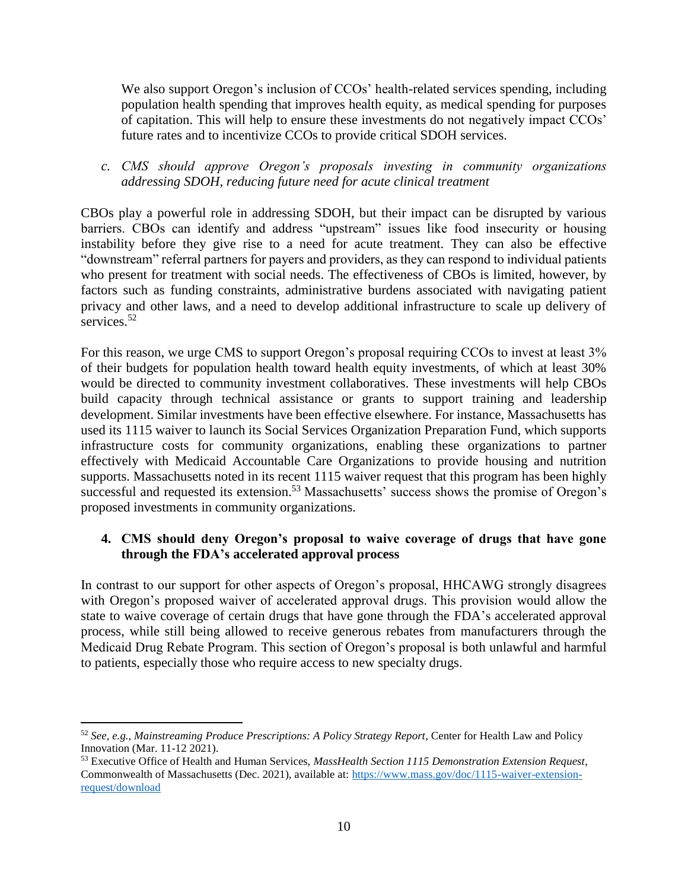We also support Oregon's inclusion of CCOs' health-related services spending, including population health spending that improves health equity, as medical spending for purposes of capitation. This will help to ensure these investments do not negatively impact CCOs' future rates and to incentivize CCOs to provide critical SDOH services.

*c. CMS should approve Oregon's proposals investing in community organizations addressing SDOH, reducing future need for acute clinical treatment*

CBOs play a powerful role in addressing SDOH, but their impact can be disrupted by various barriers. CBOs can identify and address "upstream" issues like food insecurity or housing instability before they give rise to a need for acute treatment. They can also be effective "downstream" referral partners for payers and providers, as they can respond to individual patients who present for treatment with social needs. The effectiveness of CBOs is limited, however, by factors such as funding constraints, administrative burdens associated with navigating patient privacy and other laws, and a need to develop additional infrastructure to scale up delivery of services.<sup>52</sup>

For this reason, we urge CMS to support Oregon's proposal requiring CCOs to invest at least  $3\%$ of their budgets for population health toward health equity investments, of which at least 30% would be directed to community investment collaboratives. These investments will help CBOs build capacity through technical assistance or grants to support training and leadership development. Similar investments have been effective elsewhere. For instance, Massachusetts has used its 1115 waiver to launch its Social Services Organization Preparation Fund, which supports infrastructure costs for community organizations, enabling these organizations to partner effectively with Medicaid Accountable Care Organizations to provide housing and nutrition supports. Massachusetts noted in its recent 1115 waiver request that this program has been highly successful and requested its extension.<sup>53</sup> Massachusetts' success shows the promise of Oregon's proposed investments in community organizations.

### **4. CMS should deny Oregon's proposal to waive coverage of drugs that have gone through the FDA's accelerated approval process**

In contrast to our support for other aspects of Oregon's proposal, HHCAWG strongly disagrees with Oregon's proposed waiver of accelerated approval drugs. This provision would allow the state to waive coverage of certain drugs that have gone through the FDA's accelerated approval process, while still being allowed to receive generous rebates from manufacturers through the Medicaid Drug Rebate Program. This section of Oregon's proposal is both unlawful and harmful to patients, especially those who require access to new specialty drugs.

<sup>52</sup> *See, e.g., Mainstreaming Produce Prescriptions: A Policy Strategy Report*, Center for Health Law and Policy Innovation (Mar. 11-12 2021).

<sup>53</sup> Executive Office of Health and Human Services, *MassHealth Section 1115 Demonstration Extension Request*, Commonwealth of Massachusetts (Dec. 2021), available at: [https://www.mass.gov/doc/1115-waiver-extension](https://www.mass.gov/doc/1115-waiver-extension-request/download)[request/download](https://www.mass.gov/doc/1115-waiver-extension-request/download)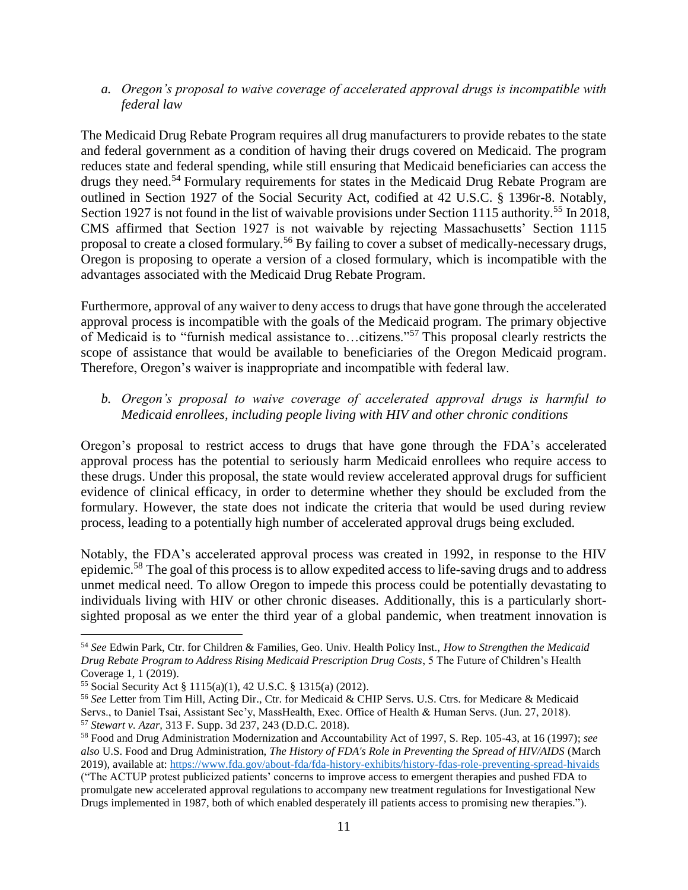*a. Oregon's proposal to waive coverage of accelerated approval drugs is incompatible with federal law*

The Medicaid Drug Rebate Program requires all drug manufacturers to provide rebates to the state and federal government as a condition of having their drugs covered on Medicaid. The program reduces state and federal spending, while still ensuring that Medicaid beneficiaries can access the drugs they need.<sup>54</sup> Formulary requirements for states in the Medicaid Drug Rebate Program are outlined in Section 1927 of the Social Security Act, codified at 42 U.S.C. § 1396r-8. Notably, Section 1927 is not found in the list of waivable provisions under Section 1115 authority.<sup>55</sup> In 2018, CMS affirmed that Section 1927 is not waivable by rejecting Massachusetts' Section 1115 proposal to create a closed formulary.<sup>56</sup> By failing to cover a subset of medically-necessary drugs, Oregon is proposing to operate a version of a closed formulary, which is incompatible with the advantages associated with the Medicaid Drug Rebate Program.

Furthermore, approval of any waiver to deny access to drugs that have gone through the accelerated approval process is incompatible with the goals of the Medicaid program. The primary objective of Medicaid is to "furnish medical assistance to…citizens."<sup>57</sup> This proposal clearly restricts the scope of assistance that would be available to beneficiaries of the Oregon Medicaid program. Therefore, Oregon's waiver is inappropriate and incompatible with federal law.

*b. Oregon's proposal to waive coverage of accelerated approval drugs is harmful to Medicaid enrollees, including people living with HIV and other chronic conditions*

Oregon's proposal to restrict access to drugs that have gone through the FDA's accelerated approval process has the potential to seriously harm Medicaid enrollees who require access to these drugs. Under this proposal, the state would review accelerated approval drugs for sufficient evidence of clinical efficacy, in order to determine whether they should be excluded from the formulary. However, the state does not indicate the criteria that would be used during review process, leading to a potentially high number of accelerated approval drugs being excluded.

Notably, the FDA's accelerated approval process was created in 1992, in response to the HIV epidemic.<sup>58</sup> The goal of this process is to allow expedited access to life-saving drugs and to address unmet medical need. To allow Oregon to impede this process could be potentially devastating to individuals living with HIV or other chronic diseases. Additionally, this is a particularly shortsighted proposal as we enter the third year of a global pandemic, when treatment innovation is

<sup>54</sup> *See* Edwin Park, Ctr. for Children & Families, Geo. Univ. Health Policy Inst., *How to Strengthen the Medicaid Drug Rebate Program to Address Rising Medicaid Prescription Drug Costs*, 5 The Future of Children's Health Coverage 1, 1 (2019).

<sup>55</sup> Social Security Act § 1115(a)(1), 42 U.S.C. § 1315(a) (2012).

<sup>56</sup> *See* Letter from Tim Hill, Acting Dir., Ctr. for Medicaid & CHIP Servs. U.S. Ctrs. for Medicare & Medicaid Servs., to Daniel Tsai, Assistant Sec'y, MassHealth, Exec. Office of Health & Human Servs. (Jun. 27, 2018). <sup>57</sup> *Stewart v. Azar,* 313 F. Supp. 3d 237, 243 (D.D.C. 2018).

<sup>58</sup> Food and Drug Administration Modernization and Accountability Act of 1997, S. Rep. 105-43, at 16 (1997); *see also* U.S. Food and Drug Administration, *The History of FDA's Role in Preventing the Spread of HIV/AIDS* (March 2019), available at:<https://www.fda.gov/about-fda/fda-history-exhibits/history-fdas-role-preventing-spread-hivaids> ("The ACTUP protest publicized patients' concerns to improve access to emergent therapies and pushed FDA to promulgate new accelerated approval regulations to accompany new treatment regulations for Investigational New Drugs implemented in 1987, both of which enabled desperately ill patients access to promising new therapies.").